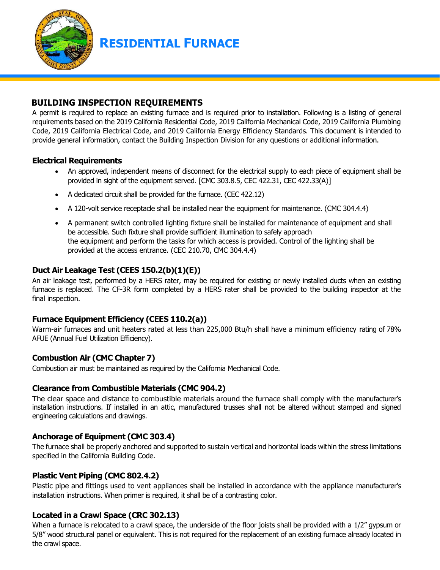

**RESIDENTIAL FURNACE** 

## **BUILDING INSPECTION REQUIREMENTS**

A permit is required to replace an existing furnace and is required prior to installation. Following is a listing of general requirements based on the 2019 California Residential Code, 2019 California Mechanical Code, 2019 California Plumbing Code, 2019 California Electrical Code, and 2019 California Energy Efficiency Standards. This document is intended to provide general information, contact the Building Inspection Division for any questions or additional information.

#### **Electrical Requirements**

- An approved, independent means of disconnect for the electrical supply to each piece of equipment shall be provided in sight of the equipment served. [CMC 303.8.5, CEC 422.31, CEC 422.33(A)]
- A dedicated circuit shall be provided for the furnace. (CEC 422.12)
- A 120-volt service receptacle shall be installed near the equipment for maintenance. (CMC 304.4.4)
- A permanent switch controlled lighting fixture shall be installed for maintenance of equipment and shall be accessible. Such fixture shall provide sufficient illumination to safely approach the equipment and perform the tasks for which access is provided. Control of the lighting shall be provided at the access entrance. (CEC 210.70, CMC 304.4.4)

## **Duct Air Leakage Test (CEES 150.2(b)(1)(E))**

An air leakage test, performed by a HERS rater, may be required for existing or newly installed ducts when an existing furnace is replaced. The CF-3R form completed by a HERS rater shall be provided to the building inspector at the final inspection.

## **Furnace Equipment Efficiency (CEES 110.2(a))**

Warm-air furnaces and unit heaters rated at less than 225,000 Btu/h shall have a minimum efficiency rating of 78% AFUE (Annual Fuel Utilization Efficiency).

## **Combustion Air (CMC Chapter 7)**

Combustion air must be maintained as required by the California Mechanical Code.

## **Clearance from Combustible Materials (CMC 904.2)**

The clear space and distance to combustible materials around the furnace shall comply with the manufacturer's installation instructions. If installed in an attic, manufactured trusses shall not be altered without stamped and signed engineering calculations and drawings.

## **Anchorage of Equipment (CMC 303.4)**

The furnace shall be properly anchored and supported to sustain vertical and horizontal loads within the stress limitations specified in the California Building Code.

## **Plastic Vent Piping (CMC 802.4.2)**

Plastic pipe and fittings used to vent appliances shall be installed in accordance with the appliance manufacturer's installation instructions. When primer is required, it shall be of a contrasting color.

## **Located in a Crawl Space (CRC 302.13)**

When a furnace is relocated to a crawl space, the underside of the floor joists shall be provided with a 1/2" gypsum or 5/8" wood structural panel or equivalent. This is not required for the replacement of an existing furnace already located in the crawl space.